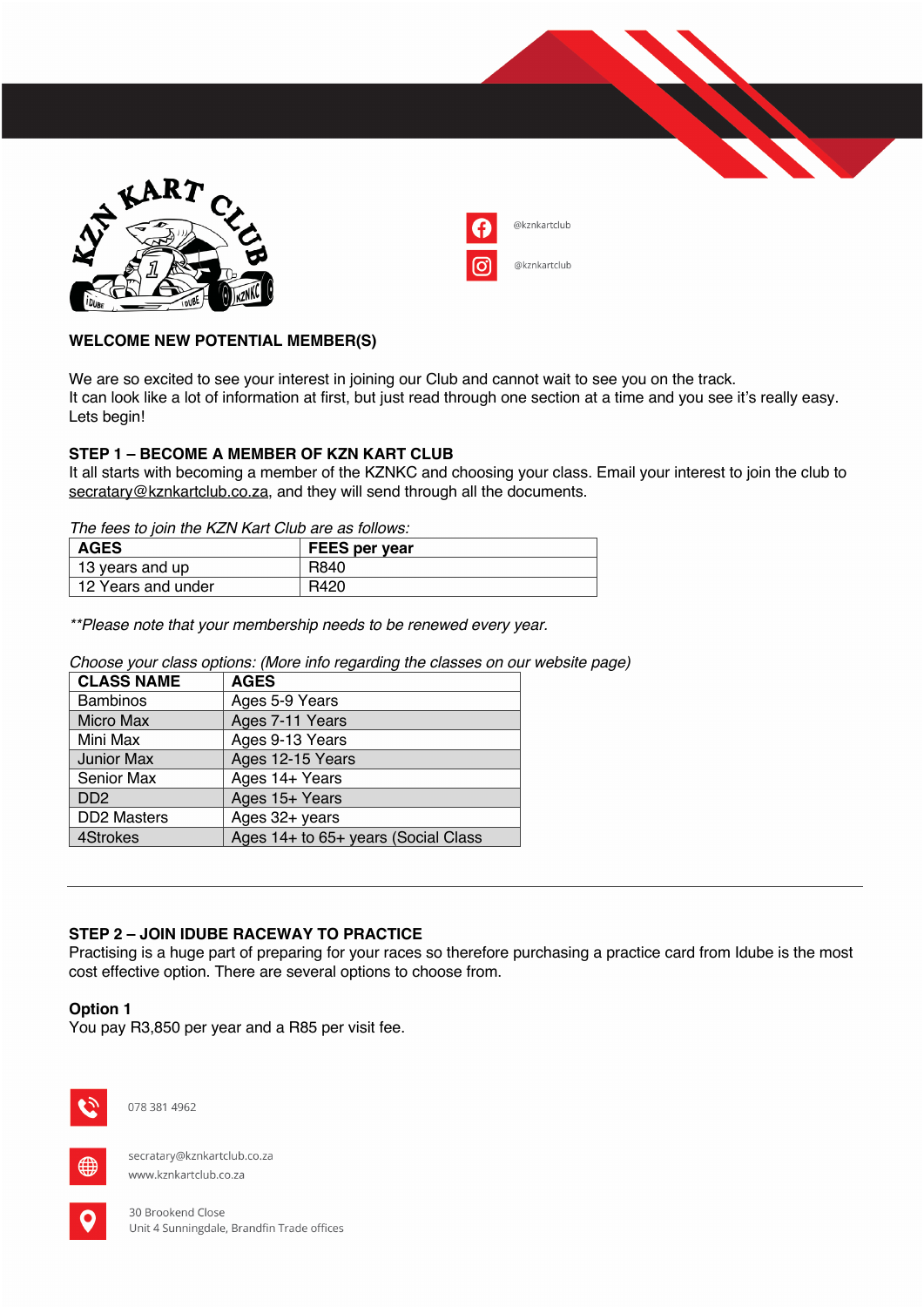

| @kznkartclub |
|--------------|
| @kznkartclub |

# **WELCOME NEW POTENTIAL MEMBER(S)**

We are so excited to see your interest in joining our Club and cannot wait to see you on the track. It can look like a lot of information at first, but just read through one section at a time and you see it's really easy. Lets begin!

## **STEP 1 – BECOME A MEMBER OF KZN KART CLUB**

It all starts with becoming a member of the KZNKC and choosing your class. Email your interest to join the club to secratary@kznkartclub.co.za, and they will send through all the documents.

*The fees to join the KZN Kart Club are as follows:*

| <b>AGES</b>        | <b>FEES per year</b> |
|--------------------|----------------------|
| 13 years and up    | R840                 |
| 12 Years and under | R420                 |

*\*\*Please note that your membership needs to be renewed every year.*

*Choose your class options: (More info regarding the classes on our website page)*

| <b>CLASS NAME</b>           | <b>AGES</b>                         |
|-----------------------------|-------------------------------------|
| <b>Bambinos</b>             | Ages 5-9 Years                      |
| <b>Micro Max</b>            | Ages 7-11 Years                     |
| Mini Max                    | Ages 9-13 Years                     |
| <b>Junior Max</b>           | Ages 12-15 Years                    |
| Senior Max                  | Ages 14+ Years                      |
| D <sub>D</sub> <sub>2</sub> | Ages 15+ Years                      |
| <b>DD2 Masters</b>          | Ages 32+ years                      |
| 4Strokes                    | Ages 14+ to 65+ years (Social Class |

## **STEP 2 – JOIN IDUBE RACEWAY TO PRACTICE**

Practising is a huge part of preparing for your races so therefore purchasing a practice card from Idube is the most cost effective option. There are several options to choose from.

#### **Option 1**

You pay R3,850 per year and a R85 per visit fee.



078 381 4962



secratary@kznkartclub.co.za www.kznkartclub.co.za

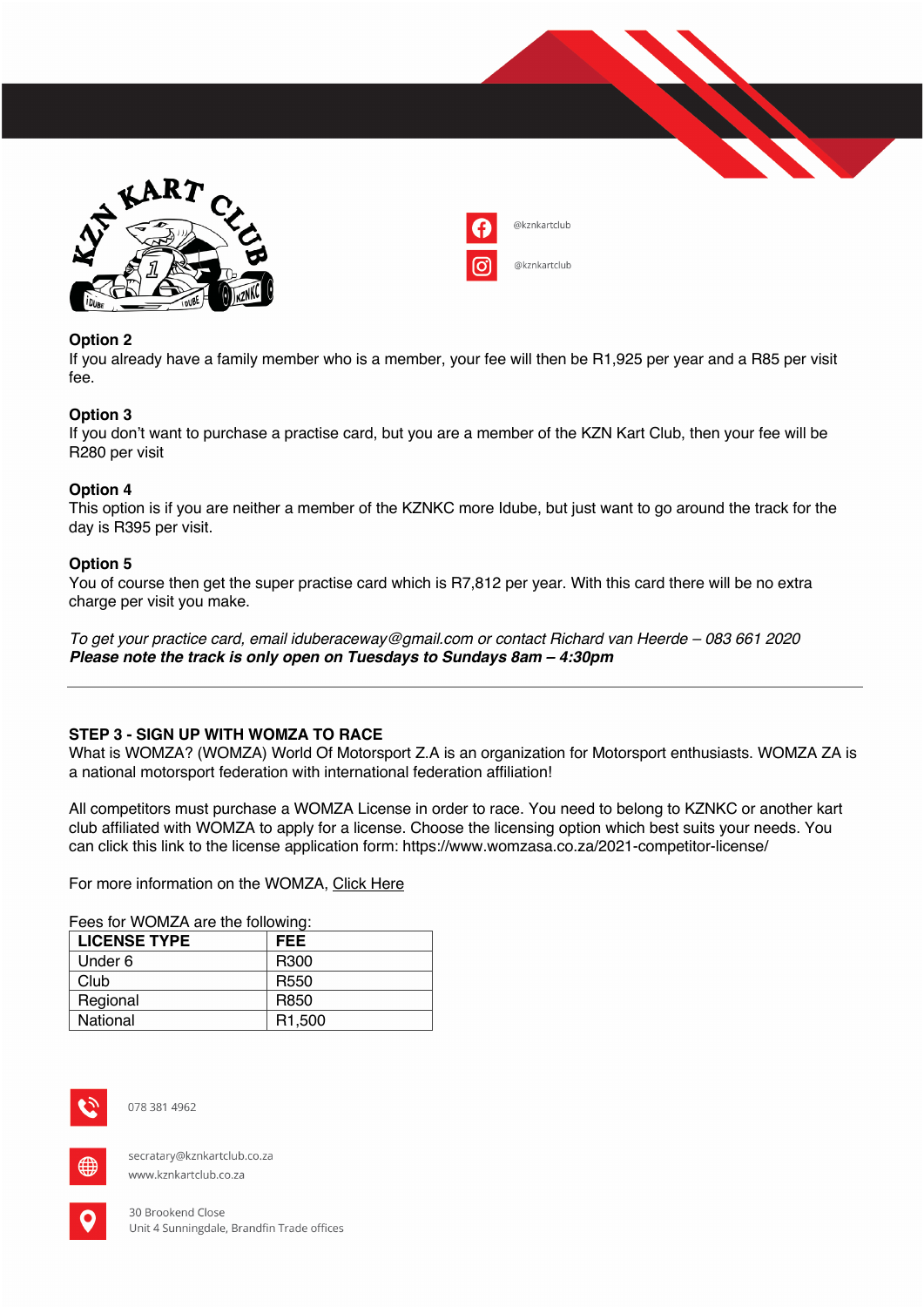



## **Option 2**

If you already have a family member who is a member, your fee will then be R1,925 per year and a R85 per visit fee.

### **Option 3**

If you don't want to purchase a practise card, but you are a member of the KZN Kart Club, then your fee will be R280 per visit

### **Option 4**

This option is if you are neither a member of the KZNKC more Idube, but just want to go around the track for the day is R395 per visit.

### **Option 5**

You of course then get the super practise card which is R7,812 per year. With this card there will be no extra charge per visit you make.

*To get your practice card, email iduberaceway@gmail.com or contact Richard van Heerde – 083 661 2020 Please note the track is only open on Tuesdays to Sundays 8am – 4:30pm*

## **STEP 3 - SIGN UP WITH WOMZA TO RACE**

What is WOMZA? (WOMZA) World Of Motorsport Z.A is an organization for Motorsport enthusiasts. WOMZA ZA is a national motorsport federation with international federation affiliation!

All competitors must purchase a WOMZA License in order to race. You need to belong to KZNKC or another kart club affiliated with WOMZA to apply for a license. Choose the licensing option which best suits your needs. You can click this link to the license application form: https://www.womzasa.co.za/2021-competitor-license/

For more information on the WOMZA, Click Here

Fees for WOMZA are the following:

| <b>LICENSE TYPE</b> | <b>FEE</b>          |
|---------------------|---------------------|
| Under 6             | R <sub>300</sub>    |
| Club                | R <sub>550</sub>    |
| Regional            | R850                |
| National            | R <sub>1</sub> ,500 |



078 381 4962



secratary@kznkartclub.co.za www.kznkartclub.co.za

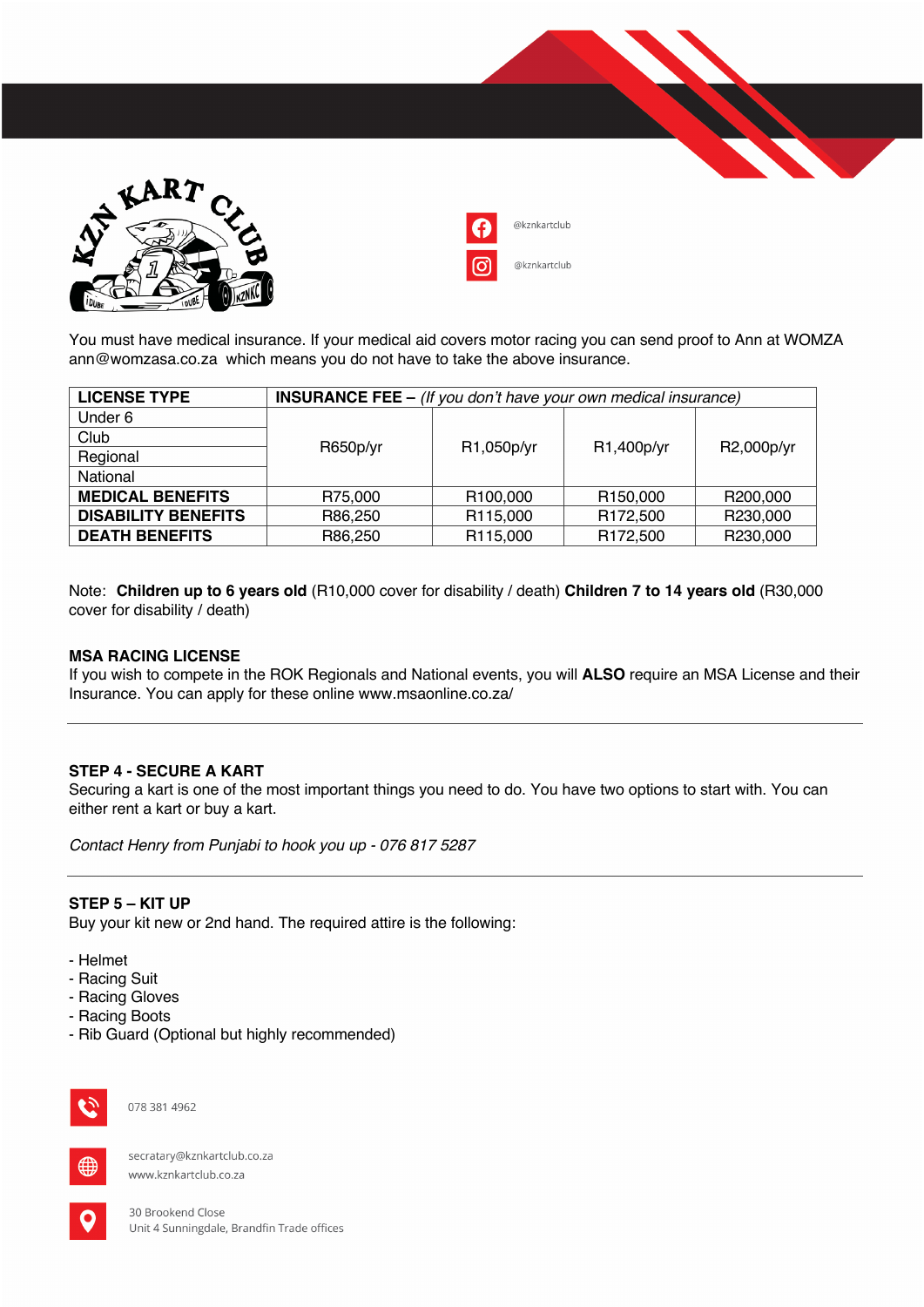



You must have medical insurance. If your medical aid covers motor racing you can send proof to Ann at WOMZA ann@womzasa.co.za which means you do not have to take the above insurance.

| <b>LICENSE TYPE</b>        | <b>INSURANCE FEE - (If you don't have your own medical insurance)</b> |            |                      |            |
|----------------------------|-----------------------------------------------------------------------|------------|----------------------|------------|
| Under 6                    |                                                                       |            |                      |            |
| Club                       |                                                                       | R1,050p/yr | R1,400p/yr           | R2,000p/yr |
| Regional                   | R650p/yr                                                              |            |                      |            |
| National                   |                                                                       |            |                      |            |
| <b>MEDICAL BENEFITS</b>    | R75,000                                                               | R100,000   | R <sub>150,000</sub> | R200,000   |
| <b>DISABILITY BENEFITS</b> | R86,250                                                               | R115,000   | R <sub>172,500</sub> | R230,000   |
| <b>DEATH BENEFITS</b>      | R86,250                                                               | R115,000   | R <sub>172,500</sub> | R230,000   |

Note: **Children up to 6 years old** (R10,000 cover for disability / death) **Children 7 to 14 years old** (R30,000 cover for disability / death)

### **MSA RACING LICENSE**

If you wish to compete in the ROK Regionals and National events, you will **ALSO** require an MSA License and their Insurance. You can apply for these online www.msaonline.co.za/

#### **STEP 4 - SECURE A KART**

Securing a kart is one of the most important things you need to do. You have two options to start with. You can either rent a kart or buy a kart.

*Contact Henry from Punjabi to hook you up - 076 817 5287*

#### **STEP 5 – KIT UP**

Buy your kit new or 2nd hand. The required attire is the following:

- Helmet
- Racing Suit
- Racing Gloves
- Racing Boots
- Rib Guard (Optional but highly recommended)



078 381 4962



secratary@kznkartclub.co.za www.kznkartclub.co.za